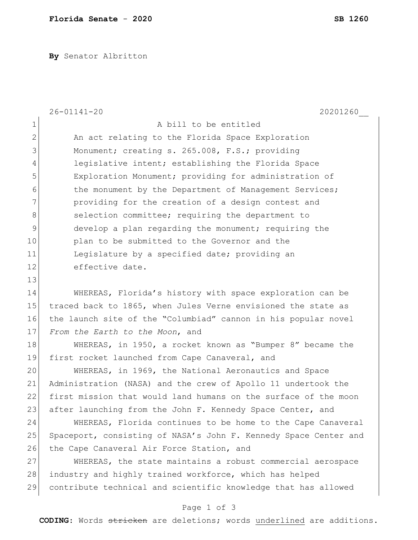**By** Senator Albritton

|                | $26 - 01141 - 20$<br>20201260                                    |
|----------------|------------------------------------------------------------------|
| $\mathbf 1$    | A bill to be entitled                                            |
| $\mathbf 2$    | An act relating to the Florida Space Exploration                 |
| 3              | Monument; creating s. 265.008, F.S.; providing                   |
| $\overline{4}$ | legislative intent; establishing the Florida Space               |
| 5              | Exploration Monument; providing for administration of            |
| $6\,$          | the monument by the Department of Management Services;           |
| 7              | providing for the creation of a design contest and               |
| 8              | selection committee; requiring the department to                 |
| $\mathsf 9$    | develop a plan regarding the monument; requiring the             |
| 10             | plan to be submitted to the Governor and the                     |
| 11             | Legislature by a specified date; providing an                    |
| 12             | effective date.                                                  |
| 13             |                                                                  |
| 14             | WHEREAS, Florida's history with space exploration can be         |
| 15             | traced back to 1865, when Jules Verne envisioned the state as    |
| 16             | the launch site of the "Columbiad" cannon in his popular novel   |
| 17             | From the Earth to the Moon, and                                  |
| 18             | WHEREAS, in 1950, a rocket known as "Bumper 8" became the        |
| 19             | first rocket launched from Cape Canaveral, and                   |
| 20             | WHEREAS, in 1969, the National Aeronautics and Space             |
| 21             | Administration (NASA) and the crew of Apollo 11 undertook the    |
| 22             | first mission that would land humans on the surface of the moon  |
| 23             | after launching from the John F. Kennedy Space Center, and       |
| 24             | WHEREAS, Florida continues to be home to the Cape Canaveral      |
| 25             | Spaceport, consisting of NASA's John F. Kennedy Space Center and |
| 26             | the Cape Canaveral Air Force Station, and                        |
| 27             | WHEREAS, the state maintains a robust commercial aerospace       |
| 28             | industry and highly trained workforce, which has helped          |
| 29             | contribute technical and scientific knowledge that has allowed   |

## Page 1 of 3

**CODING**: Words stricken are deletions; words underlined are additions.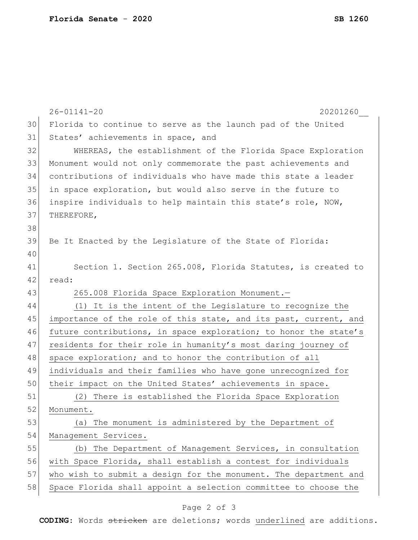|    | $26 - 01141 - 20$<br>20201260                                    |
|----|------------------------------------------------------------------|
| 30 | Florida to continue to serve as the launch pad of the United     |
| 31 | States' achievements in space, and                               |
| 32 | WHEREAS, the establishment of the Florida Space Exploration      |
| 33 | Monument would not only commemorate the past achievements and    |
| 34 | contributions of individuals who have made this state a leader   |
| 35 | in space exploration, but would also serve in the future to      |
| 36 | inspire individuals to help maintain this state's role, NOW,     |
| 37 | THEREFORE,                                                       |
| 38 |                                                                  |
| 39 | Be It Enacted by the Legislature of the State of Florida:        |
| 40 |                                                                  |
| 41 | Section 1. Section 265.008, Florida Statutes, is created to      |
| 42 | read:                                                            |
| 43 | 265.008 Florida Space Exploration Monument.-                     |
| 44 | (1) It is the intent of the Legislature to recognize the         |
| 45 | importance of the role of this state, and its past, current, and |
| 46 | future contributions, in space exploration; to honor the state's |
| 47 | residents for their role in humanity's most daring journey of    |
| 48 | space exploration; and to honor the contribution of all          |
| 49 | individuals and their families who have gone unrecognized for    |
| 50 | their impact on the United States' achievements in space.        |
| 51 | (2) There is established the Florida Space Exploration           |
| 52 | Monument.                                                        |
| 53 | The monument is administered by the Department of<br>(a)         |
| 54 | Management Services.                                             |
| 55 | The Department of Management Services, in consultation<br>(b)    |
| 56 | with Space Florida, shall establish a contest for individuals    |
| 57 | who wish to submit a design for the monument. The department and |
| 58 | Space Florida shall appoint a selection committee to choose the  |
|    |                                                                  |

## Page 2 of 3

**CODING**: Words stricken are deletions; words underlined are additions.